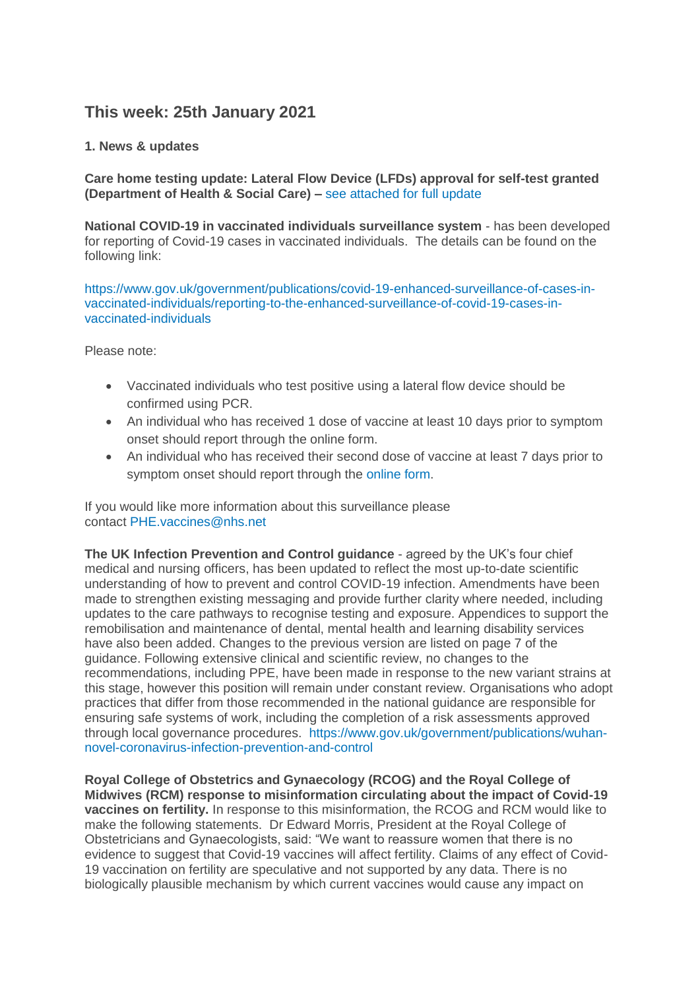# **This week: 25th January 2021**

## **1. News & updates**

**Care home testing update: Lateral Flow Device (LFDs) approval for self-test granted (Department of Health & Social Care) –** [see attached for full update](https://eastlancsccg.nhs.uk/images/Care_home_testing_update_25th_January_2021.docx)

**National COVID-19 in vaccinated individuals surveillance system** - has been developed for reporting of Covid-19 cases in vaccinated individuals. The details can be found on the following link:

[https://www.gov.uk/government/publications/covid-19-enhanced-surveillance-of-cases-in](https://www.gov.uk/government/publications/covid-19-enhanced-surveillance-of-cases-in-vaccinated-individuals/reporting-to-the-enhanced-surveillance-of-covid-19-cases-in-vaccinated-individuals)[vaccinated-individuals/reporting-to-the-enhanced-surveillance-of-covid-19-cases-in](https://www.gov.uk/government/publications/covid-19-enhanced-surveillance-of-cases-in-vaccinated-individuals/reporting-to-the-enhanced-surveillance-of-covid-19-cases-in-vaccinated-individuals)[vaccinated-individuals](https://www.gov.uk/government/publications/covid-19-enhanced-surveillance-of-cases-in-vaccinated-individuals/reporting-to-the-enhanced-surveillance-of-covid-19-cases-in-vaccinated-individuals)

Please note:

- Vaccinated individuals who test positive using a lateral flow device should be confirmed using PCR.
- An individual who has received 1 dose of vaccine at least 10 days prior to symptom onset should report through the online form.
- An individual who has received their second dose of vaccine at least 7 days prior to symptom onset should report through the [online form.](https://snapsurvey.phe.org.uk/snapwebhost/s.asp?k=161037673124)

If you would like more information about this surveillance please contact [PHE.vaccines@nhs.net](mailto:PHE.vaccines@nhs.net)

**The UK Infection Prevention and Control guidance** - agreed by the UK's four chief medical and nursing officers, has been updated to reflect the most up-to-date scientific understanding of how to prevent and control COVID-19 infection. Amendments have been made to strengthen existing messaging and provide further clarity where needed, including updates to the care pathways to recognise testing and exposure. Appendices to support the remobilisation and maintenance of dental, mental health and learning disability services have also been added. Changes to the previous version are listed on page 7 of the guidance. Following extensive clinical and scientific review, no changes to the recommendations, including PPE, have been made in response to the new variant strains at this stage, however this position will remain under constant review. Organisations who adopt practices that differ from those recommended in the national guidance are responsible for ensuring safe systems of work, including the completion of a risk assessments approved through local governance procedures. [https://www.gov.uk/government/publications/wuhan](https://www.gov.uk/government/publications/wuhan-novel-coronavirus-infection-prevention-and-control)[novel-coronavirus-infection-prevention-and-control](https://www.gov.uk/government/publications/wuhan-novel-coronavirus-infection-prevention-and-control) 

**Royal College of Obstetrics and Gynaecology (RCOG) and the Royal College of Midwives (RCM) response to misinformation circulating about the impact of Covid-19 vaccines on fertility.** In response to this misinformation, the RCOG and RCM would like to make the following statements. Dr Edward Morris, President at the Royal College of Obstetricians and Gynaecologists, said: "We want to reassure women that there is no evidence to suggest that Covid-19 vaccines will affect fertility. Claims of any effect of Covid-19 vaccination on fertility are speculative and not supported by any data. There is no biologically plausible mechanism by which current vaccines would cause any impact on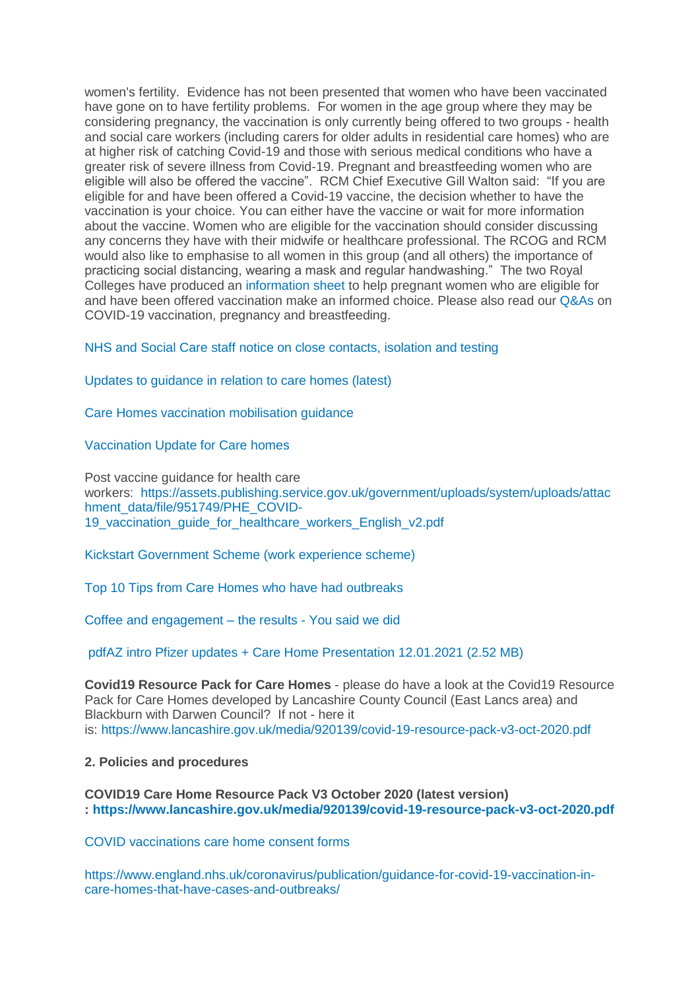women's fertility. Evidence has not been presented that women who have been vaccinated have gone on to have fertility problems. For women in the age group where they may be considering pregnancy, the vaccination is only currently being offered to two groups - health and social care workers (including carers for older adults in residential care homes) who are at higher risk of catching Covid-19 and those with serious medical conditions who have a greater risk of severe illness from Covid-19. Pregnant and breastfeeding women who are eligible will also be offered the vaccine". RCM Chief Executive Gill Walton said: "If you are eligible for and have been offered a Covid-19 vaccine, the decision whether to have the vaccination is your choice. You can either have the vaccine or wait for more information about the vaccine. Women who are eligible for the vaccination should consider discussing any concerns they have with their midwife or healthcare professional. The RCOG and RCM would also like to emphasise to all women in this group (and all others) the importance of practicing social distancing, wearing a mask and regular handwashing." The two Royal Colleges have produced an [information sheet](https://www.rcog.org.uk/globalassets/documents/guidelines/2021-01-12-covid-19-vaccine-info-sheet.pdf) to help pregnant women who are eligible for and have been offered vaccination make an informed choice. Please also read our [Q&As](https://www.rcog.org.uk/en/guidelines-research-services/guidelines/coronavirus-pregnancy/covid-19-virus-infection-and-pregnancy/) on COVID-19 vaccination, pregnancy and breastfeeding.

[NHS and Social Care staff notice on close contacts, isolation and testing](https://eastlancsccg.nhs.uk/images/RegulatedCareSector/Staff_notice_guide_to_close_contacts_self-isolation_and_testing_version_12_130121.pdf)

[Updates to guidance in relation to care homes \(latest\)](https://eastlancsccg.nhs.uk/images/Updates_to_guidance_in_relation_to_care_homes_this_week_wc_18th_January_2021.pdf)

[Care Homes vaccination mobilisation guidance](https://eastlancsccg.nhs.uk/images/Care_Home_Vaccination_Mobilisation_support_pack_version_2_8_January_2021pdf.pdf)

[Vaccination Update for Care homes](https://eastlancsccg.nhs.uk/images/Care_Homes_Covid_Vaccination_update.pdf)

Post vaccine guidance for health care workers: [https://assets.publishing.service.gov.uk/government/uploads/system/uploads/attac](https://assets.publishing.service.gov.uk/government/uploads/system/uploads/attachment_data/file/951749/PHE_COVID-19_vaccination_guide_for_healthcare_workers_English_v2.pdf) [hment\\_data/file/951749/PHE\\_COVID-](https://assets.publishing.service.gov.uk/government/uploads/system/uploads/attachment_data/file/951749/PHE_COVID-19_vaccination_guide_for_healthcare_workers_English_v2.pdf)19 vaccination quide for healthcare workers English v2.pdf

[Kickstart Government Scheme \(work experience scheme\)](https://eastlancsccg.nhs.uk/images/Kickstart_programme.pdf)

[Top 10 Tips from Care Homes who have had outbreaks](https://eastlancsccg.nhs.uk/images/RegulatedCareSector/Top_ten_tips.docx)

[Coffee and engagement –](https://eastlancsccg.nhs.uk/images/RegulatedCareSector/You_said_We_did_from_December_and_October_Coffee_engagement_evenings.pdf) the results - You said we did

[pdfAZ intro Pfizer updates + Care Home Presentation 12.01.2021](https://eastlancsccg.nhs.uk/contact-us/freedom-of-information/disclosure-logs/publications/2729-az-intro-pfizer-updates-care-home-presentation-12-01-2021) (2.52 MB)

**Covid19 Resource Pack for Care Homes** - please do have a look at the Covid19 Resource Pack for Care Homes developed by Lancashire County Council (East Lancs area) and Blackburn with Darwen Council? If not - here it is: <https://www.lancashire.gov.uk/media/920139/covid-19-resource-pack-v3-oct-2020.pdf>

#### **2. Policies and procedures**

**COVID19 Care Home Resource Pack V3 October 2020 (latest version) : <https://www.lancashire.gov.uk/media/920139/covid-19-resource-pack-v3-oct-2020.pdf>**

[COVID vaccinations care home consent forms](https://eastlancsccg.nhs.uk/images/RegulatedCareSector/20201208_ICS_CH_CvdVacConsentForm_v1_FINAL.PDF)

[https://www.england.nhs.uk/coronavirus/publication/guidance-for-covid-19-vaccination-in](https://www.england.nhs.uk/coronavirus/publication/guidance-for-covid-19-vaccination-in-care-homes-that-have-cases-and-outbreaks/)[care-homes-that-have-cases-and-outbreaks/](https://www.england.nhs.uk/coronavirus/publication/guidance-for-covid-19-vaccination-in-care-homes-that-have-cases-and-outbreaks/)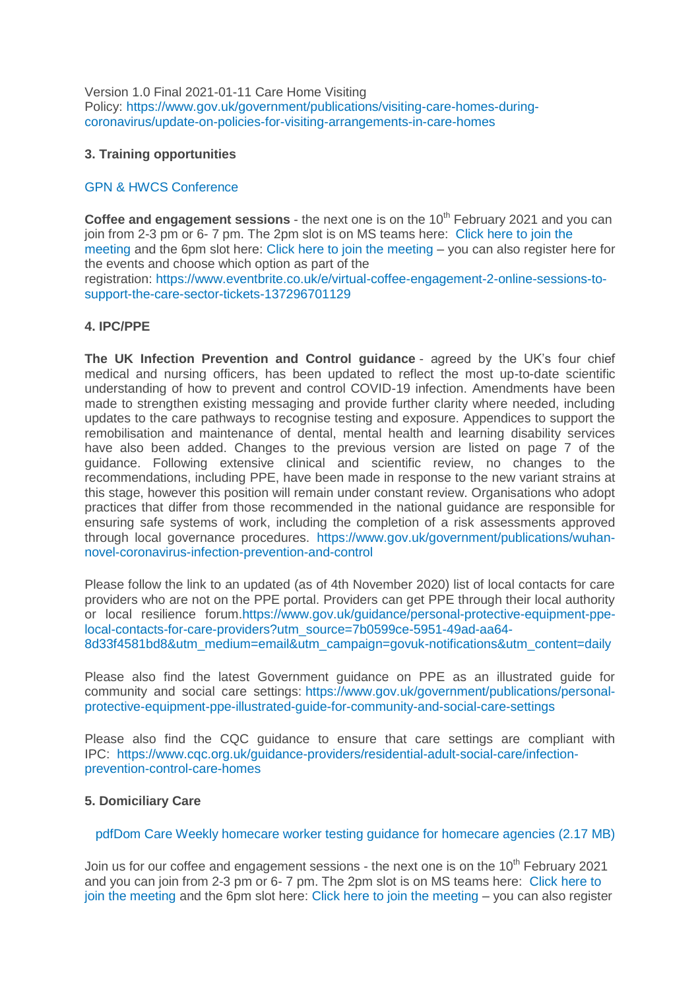Version 1.0 Final 2021-01-11 Care Home Visiting Policy: [https://www.gov.uk/government/publications/visiting-care-homes-during](https://www.gov.uk/government/publications/visiting-care-homes-during-coronavirus/update-on-policies-for-visiting-arrangements-in-care-homes)[coronavirus/update-on-policies-for-visiting-arrangements-in-care-homes](https://www.gov.uk/government/publications/visiting-care-homes-during-coronavirus/update-on-policies-for-visiting-arrangements-in-care-homes)

### **3. Training opportunities**

## [GPN & HWCS Conference](https://eastlancsccg.nhs.uk/images/RegulatedCareSector/GPN_and_HCSW_Conference_2021.pdf)

**Coffee and engagement sessions** - the next one is on the 10<sup>th</sup> February 2021 and you can join from 2-3 pm or 6- 7 pm. The 2pm slot is on MS teams here: [Click here to join the](https://teams.microsoft.com/l/meetup-join/19%3ameeting_NjkxOTI3M2MtMzdlNC00MDliLWFhMjgtZmZiZjMzZGI5OTkw%40thread.v2/0?context=%7b%22Tid%22%3a%2237c354b2-85b0-47f5-b222-07b48d774ee3%22%2c%22Oid%22%3a%22a2ec35af-1c40-4f8f-8903-a088b26ed2a2%22%7d)  [meeting](https://teams.microsoft.com/l/meetup-join/19%3ameeting_NjkxOTI3M2MtMzdlNC00MDliLWFhMjgtZmZiZjMzZGI5OTkw%40thread.v2/0?context=%7b%22Tid%22%3a%2237c354b2-85b0-47f5-b222-07b48d774ee3%22%2c%22Oid%22%3a%22a2ec35af-1c40-4f8f-8903-a088b26ed2a2%22%7d) and the 6pm slot here: [Click here to join the meeting](https://teams.microsoft.com/l/meetup-join/19%3ameeting_MGQ4N2Y3ZmItYmJhNS00ZTFlLWEwMGYtZjA3NDA4ZTQ0YzNj%40thread.v2/0?context=%7b%22Tid%22%3a%2237c354b2-85b0-47f5-b222-07b48d774ee3%22%2c%22Oid%22%3a%22a2ec35af-1c40-4f8f-8903-a088b26ed2a2%22%7d) – you can also register here for the events and choose which option as part of the

registration: [https://www.eventbrite.co.uk/e/virtual-coffee-engagement-2-online-sessions-to](https://www.eventbrite.co.uk/e/virtual-coffee-engagement-2-online-sessions-to-support-the-care-sector-tickets-137296701129)[support-the-care-sector-tickets-137296701129](https://www.eventbrite.co.uk/e/virtual-coffee-engagement-2-online-sessions-to-support-the-care-sector-tickets-137296701129)

## **4. IPC/PPE**

**The UK Infection Prevention and Control guidance** - agreed by the UK's four chief medical and nursing officers, has been updated to reflect the most up-to-date scientific understanding of how to prevent and control COVID-19 infection. Amendments have been made to strengthen existing messaging and provide further clarity where needed, including updates to the care pathways to recognise testing and exposure. Appendices to support the remobilisation and maintenance of dental, mental health and learning disability services have also been added. Changes to the previous version are listed on page 7 of the guidance. Following extensive clinical and scientific review, no changes to the recommendations, including PPE, have been made in response to the new variant strains at this stage, however this position will remain under constant review. Organisations who adopt practices that differ from those recommended in the national guidance are responsible for ensuring safe systems of work, including the completion of a risk assessments approved through local governance procedures. [https://www.gov.uk/government/publications/wuhan](https://www.gov.uk/government/publications/wuhan-novel-coronavirus-infection-prevention-and-control)[novel-coronavirus-infection-prevention-and-control](https://www.gov.uk/government/publications/wuhan-novel-coronavirus-infection-prevention-and-control) 

Please follow the link to an updated (as of 4th November 2020) list of local contacts for care providers who are not on the PPE portal. Providers can get PPE through their local authority or local resilience forum[.https://www.gov.uk/guidance/personal-protective-equipment-ppe](https://www.gov.uk/guidance/personal-protective-equipment-ppe-local-contacts-for-care-providers?utm_source=7b0599ce-5951-49ad-aa64-8d33f4581bd8&utm_medium=email&utm_campaign=govuk-notifications&utm_content=daily)[local-contacts-for-care-providers?utm\\_source=7b0599ce-5951-49ad-aa64-](https://www.gov.uk/guidance/personal-protective-equipment-ppe-local-contacts-for-care-providers?utm_source=7b0599ce-5951-49ad-aa64-8d33f4581bd8&utm_medium=email&utm_campaign=govuk-notifications&utm_content=daily) [8d33f4581bd8&utm\\_medium=email&utm\\_campaign=govuk-notifications&utm\\_content=daily](https://www.gov.uk/guidance/personal-protective-equipment-ppe-local-contacts-for-care-providers?utm_source=7b0599ce-5951-49ad-aa64-8d33f4581bd8&utm_medium=email&utm_campaign=govuk-notifications&utm_content=daily)

Please also find the latest Government guidance on PPE as an illustrated guide for community and social care settings: [https://www.gov.uk/government/publications/personal](https://www.gov.uk/government/publications/personal-protective-equipment-ppe-illustrated-guide-for-community-and-social-care-settings)[protective-equipment-ppe-illustrated-guide-for-community-and-social-care-settings](https://www.gov.uk/government/publications/personal-protective-equipment-ppe-illustrated-guide-for-community-and-social-care-settings)

Please also find the CQC guidance to ensure that care settings are compliant with IPC: [https://www.cqc.org.uk/guidance-providers/residential-adult-social-care/infection](https://www.cqc.org.uk/guidance-providers/residential-adult-social-care/infection-prevention-control-care-homes)[prevention-control-care-homes](https://www.cqc.org.uk/guidance-providers/residential-adult-social-care/infection-prevention-control-care-homes)

#### **5. Domiciliary Care**

## [pdfDom Care Weekly homecare worker testing guidance for homecare agencies](https://eastlancsccg.nhs.uk/contact-us/freedom-of-information/disclosure-logs/publications/2730-dom-care-weekly-homecare-worker-testing-guidance-for-homecare-agencies) (2.17 MB)

Join us for our coffee and engagement sessions - the next one is on the 10<sup>th</sup> February 2021 and you can join from 2-3 pm or 6- 7 pm. The 2pm slot is on MS teams here: [Click here to](https://teams.microsoft.com/l/meetup-join/19%3ameeting_NjkxOTI3M2MtMzdlNC00MDliLWFhMjgtZmZiZjMzZGI5OTkw%40thread.v2/0?context=%7b%22Tid%22%3a%2237c354b2-85b0-47f5-b222-07b48d774ee3%22%2c%22Oid%22%3a%22a2ec35af-1c40-4f8f-8903-a088b26ed2a2%22%7d)  [join the meeting](https://teams.microsoft.com/l/meetup-join/19%3ameeting_NjkxOTI3M2MtMzdlNC00MDliLWFhMjgtZmZiZjMzZGI5OTkw%40thread.v2/0?context=%7b%22Tid%22%3a%2237c354b2-85b0-47f5-b222-07b48d774ee3%22%2c%22Oid%22%3a%22a2ec35af-1c40-4f8f-8903-a088b26ed2a2%22%7d) and the 6pm slot here: [Click here to join the meeting](https://teams.microsoft.com/l/meetup-join/19%3ameeting_MGQ4N2Y3ZmItYmJhNS00ZTFlLWEwMGYtZjA3NDA4ZTQ0YzNj%40thread.v2/0?context=%7b%22Tid%22%3a%2237c354b2-85b0-47f5-b222-07b48d774ee3%22%2c%22Oid%22%3a%22a2ec35af-1c40-4f8f-8903-a088b26ed2a2%22%7d) – you can also register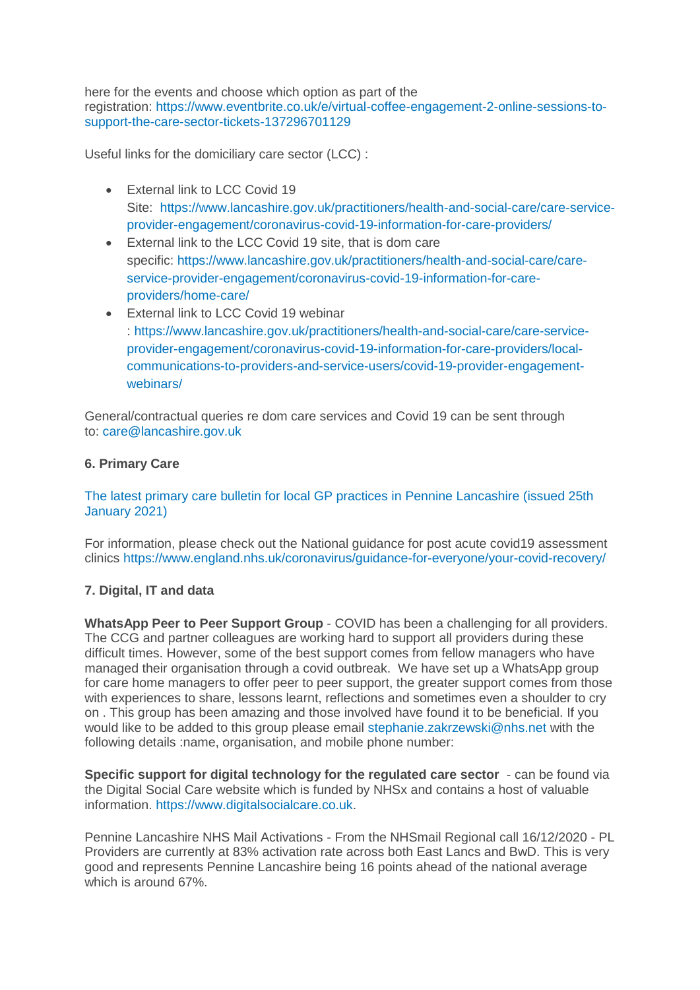here for the events and choose which option as part of the registration: [https://www.eventbrite.co.uk/e/virtual-coffee-engagement-2-online-sessions-to](https://www.eventbrite.co.uk/e/virtual-coffee-engagement-2-online-sessions-to-support-the-care-sector-tickets-137296701129)[support-the-care-sector-tickets-137296701129](https://www.eventbrite.co.uk/e/virtual-coffee-engagement-2-online-sessions-to-support-the-care-sector-tickets-137296701129)

Useful links for the domiciliary care sector (LCC) :

- External link to LCC Covid 19 Site: [https://www.lancashire.gov.uk/practitioners/health-and-social-care/care-service](https://www.lancashire.gov.uk/practitioners/health-and-social-care/care-service-provider-engagement/coronavirus-covid-19-information-for-care-providers/)[provider-engagement/coronavirus-covid-19-information-for-care-providers/](https://www.lancashire.gov.uk/practitioners/health-and-social-care/care-service-provider-engagement/coronavirus-covid-19-information-for-care-providers/)
- External link to the LCC Covid 19 site, that is dom care specific: [https://www.lancashire.gov.uk/practitioners/health-and-social-care/care](https://www.lancashire.gov.uk/practitioners/health-and-social-care/care-service-provider-engagement/coronavirus-covid-19-information-for-care-providers/home-care/)[service-provider-engagement/coronavirus-covid-19-information-for-care](https://www.lancashire.gov.uk/practitioners/health-and-social-care/care-service-provider-engagement/coronavirus-covid-19-information-for-care-providers/home-care/)[providers/home-care/](https://www.lancashire.gov.uk/practitioners/health-and-social-care/care-service-provider-engagement/coronavirus-covid-19-information-for-care-providers/home-care/)
- External link to LCC Covid 19 webinar : [https://www.lancashire.gov.uk/practitioners/health-and-social-care/care-service](https://www.lancashire.gov.uk/practitioners/health-and-social-care/care-service-provider-engagement/coronavirus-covid-19-information-for-care-providers/local-communications-to-providers-and-service-users/covid-19-provider-engagement-webinars/)[provider-engagement/coronavirus-covid-19-information-for-care-providers/local](https://www.lancashire.gov.uk/practitioners/health-and-social-care/care-service-provider-engagement/coronavirus-covid-19-information-for-care-providers/local-communications-to-providers-and-service-users/covid-19-provider-engagement-webinars/)[communications-to-providers-and-service-users/covid-19-provider-engagement](https://www.lancashire.gov.uk/practitioners/health-and-social-care/care-service-provider-engagement/coronavirus-covid-19-information-for-care-providers/local-communications-to-providers-and-service-users/covid-19-provider-engagement-webinars/)[webinars/](https://www.lancashire.gov.uk/practitioners/health-and-social-care/care-service-provider-engagement/coronavirus-covid-19-information-for-care-providers/local-communications-to-providers-and-service-users/covid-19-provider-engagement-webinars/)

General/contractual queries re dom care services and Covid 19 can be sent through to: [care@lancashire.gov.uk](mailto:care@lancashire.gov.uk)

## **6. Primary Care**

[The latest primary care bulletin for local GP practices in Pennine Lancashire \(issued 25th](https://eastlancsccg.nhs.uk/images/20210125_Primary_Care_Briefing_from_Dr_M_Dziobon_No_160_approved_for_circulation.pdf)  [January 2021\)](https://eastlancsccg.nhs.uk/images/20210125_Primary_Care_Briefing_from_Dr_M_Dziobon_No_160_approved_for_circulation.pdf)

For information, please check out the National guidance for post acute covid19 assessment clinics <https://www.england.nhs.uk/coronavirus/guidance-for-everyone/your-covid-recovery/>

## **7. Digital, IT and data**

**WhatsApp Peer to Peer Support Group** - COVID has been a challenging for all providers. The CCG and partner colleagues are working hard to support all providers during these difficult times. However, some of the best support comes from fellow managers who have managed their organisation through a covid outbreak. We have set up a WhatsApp group for care home managers to offer peer to peer support, the greater support comes from those with experiences to share, lessons learnt, reflections and sometimes even a shoulder to cry on . This group has been amazing and those involved have found it to be beneficial. If you would like to be added to this group please email [stephanie.zakrzewski@nhs.net](mailto:stephanie.zakrzewski@nhs.net) with the following details :name, organisation, and mobile phone number:

**Specific support for digital technology for the regulated care sector** - can be found via the Digital Social Care website which is funded by NHSx and contains a host of valuable information. [https://www.digitalsocialcare.co.uk.](https://www.digitalsocialcare.co.uk/)

Pennine Lancashire NHS Mail Activations - From the NHSmail Regional call 16/12/2020 - PL Providers are currently at 83% activation rate across both East Lancs and BwD. This is very good and represents Pennine Lancashire being 16 points ahead of the national average which is around 67%.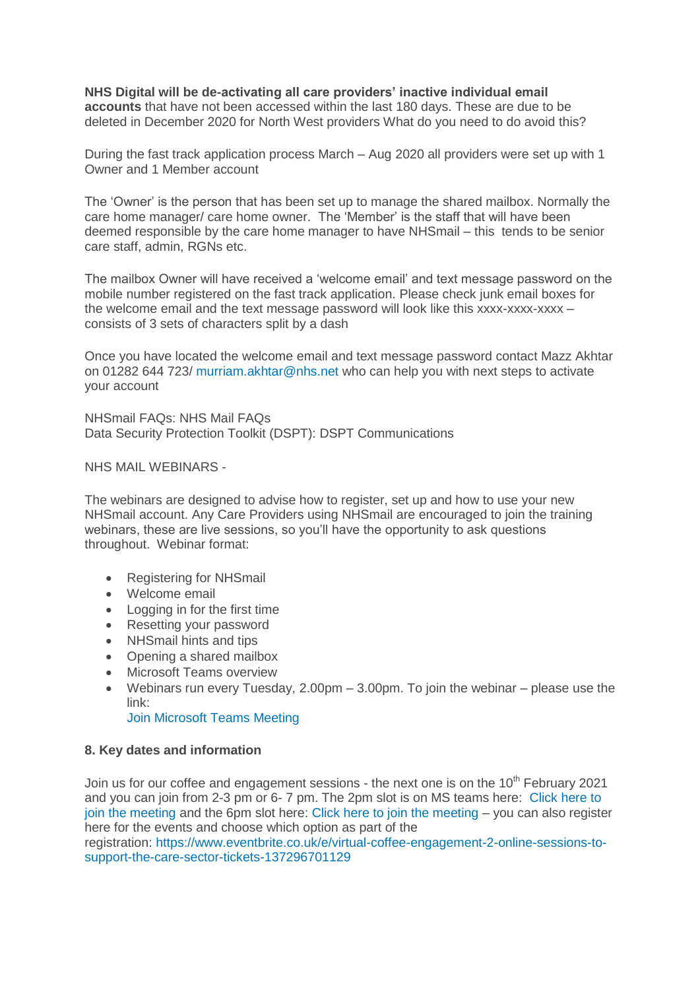**NHS Digital will be de-activating all care providers' inactive individual email accounts** that have not been accessed within the last 180 days. These are due to be deleted in December 2020 for North West providers What do you need to do avoid this?

During the fast track application process March – Aug 2020 all providers were set up with 1 Owner and 1 Member account

The 'Owner' is the person that has been set up to manage the shared mailbox. Normally the care home manager/ care home owner. The 'Member' is the staff that will have been deemed responsible by the care home manager to have NHSmail – this tends to be senior care staff, admin, RGNs etc.

The mailbox Owner will have received a 'welcome email' and text message password on the mobile number registered on the fast track application. Please check junk email boxes for the welcome email and the text message password will look like this xxxx-xxxx-xxxx – consists of 3 sets of characters split by a dash

Once you have located the welcome email and text message password contact Mazz Akhtar on 01282 644 723/ [murriam.akhtar@nhs.net](mailto:murriam.akhtar@nhs.net) who can help you with next steps to activate your account

NHSmail FAQs: NHS Mail FAQs Data Security Protection Toolkit (DSPT): DSPT Communications

NHS MAIL WEBINARS -

The webinars are designed to advise how to register, set up and how to use your new NHSmail account. Any Care Providers using NHSmail are encouraged to join the training webinars, these are live sessions, so you'll have the opportunity to ask questions throughout. Webinar format:

- Registering for NHSmail
- Welcome email
- Logging in for the first time
- Resetting your password
- NHSmail hints and tips
- Opening a shared mailbox
- Microsoft Teams overview
- Webinars run every Tuesday,  $2.00 \text{pm} 3.00 \text{pm}$ . To join the webinar please use the link:

[Join Microsoft Teams Meeting](https://teams.microsoft.com/l/meetup-join/19%3ameeting_ZGQ1MTkzMDAtZjU4OS00MDhhLWE1ZDgtNmUxNjIyNjcyYmZi%40thread.v2/0?context=%7b%22Tid%22%3a%2203159e92-72c6-4b23-a64a-af50e790adbf%22%2c%22Oid%22%3a%22cc4ef5b2-82a3-43ca-8a81-da50f393d1c8%22%7d)

## **8. Key dates and information**

Join us for our coffee and engagement sessions - the next one is on the  $10<sup>th</sup>$  February 2021 and you can join from 2-3 pm or 6- 7 pm. The 2pm slot is on MS teams here: [Click here to](https://teams.microsoft.com/l/meetup-join/19%3ameeting_NjkxOTI3M2MtMzdlNC00MDliLWFhMjgtZmZiZjMzZGI5OTkw%40thread.v2/0?context=%7b%22Tid%22%3a%2237c354b2-85b0-47f5-b222-07b48d774ee3%22%2c%22Oid%22%3a%22a2ec35af-1c40-4f8f-8903-a088b26ed2a2%22%7d)  [join the meeting](https://teams.microsoft.com/l/meetup-join/19%3ameeting_NjkxOTI3M2MtMzdlNC00MDliLWFhMjgtZmZiZjMzZGI5OTkw%40thread.v2/0?context=%7b%22Tid%22%3a%2237c354b2-85b0-47f5-b222-07b48d774ee3%22%2c%22Oid%22%3a%22a2ec35af-1c40-4f8f-8903-a088b26ed2a2%22%7d) and the 6pm slot here: Click [here to join the meeting](https://teams.microsoft.com/l/meetup-join/19%3ameeting_MGQ4N2Y3ZmItYmJhNS00ZTFlLWEwMGYtZjA3NDA4ZTQ0YzNj%40thread.v2/0?context=%7b%22Tid%22%3a%2237c354b2-85b0-47f5-b222-07b48d774ee3%22%2c%22Oid%22%3a%22a2ec35af-1c40-4f8f-8903-a088b26ed2a2%22%7d) – you can also register here for the events and choose which option as part of the

registration: [https://www.eventbrite.co.uk/e/virtual-coffee-engagement-2-online-sessions-to](https://www.eventbrite.co.uk/e/virtual-coffee-engagement-2-online-sessions-to-support-the-care-sector-tickets-137296701129)[support-the-care-sector-tickets-137296701129](https://www.eventbrite.co.uk/e/virtual-coffee-engagement-2-online-sessions-to-support-the-care-sector-tickets-137296701129)